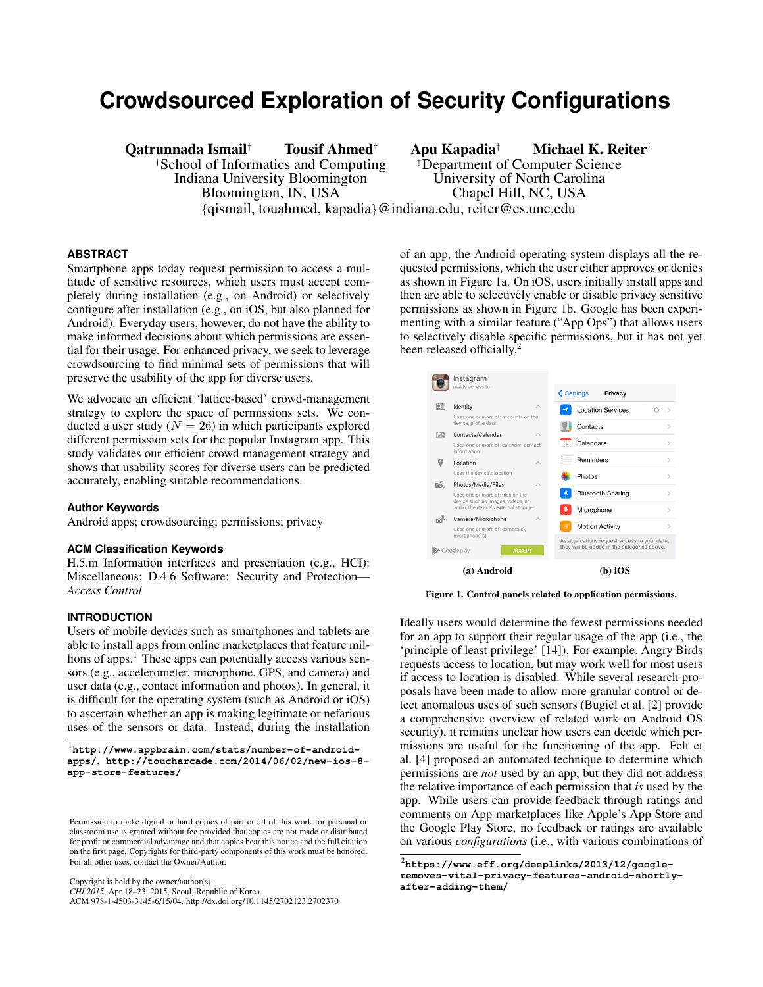# **Crowdsourced Exploration of Security Configurations**

Qatrunnada Ismail† Tousif Ahmed† Apu Kapadia† Michael K. Reiter‡<br>† School of Informatics and Computing  $\downarrow$  ‡ Department of Computer Science †School of Informatics and Computing  $\downarrow$  <sup>‡</sup>Department of Computer Science Indiana University Bloomington University of North Carolina Indiana University Bloomington Bloomington, IN, USA Chapel Hill, NC, USA {qismail, touahmed, kapadia}@indiana.edu, reiter@cs.unc.edu

## **ABSTRACT**

Smartphone apps today request permission to access a multitude of sensitive resources, which users must accept completely during installation (e.g., on Android) or selectively configure after installation (e.g., on iOS, but also planned for Android). Everyday users, however, do not have the ability to make informed decisions about which permissions are essential for their usage. For enhanced privacy, we seek to leverage crowdsourcing to find minimal sets of permissions that will preserve the usability of the app for diverse users.

We advocate an efficient 'lattice-based' crowd-management strategy to explore the space of permissions sets. We conducted a user study ( $N = 26$ ) in which participants explored different permission sets for the popular Instagram app. This study validates our efficient crowd management strategy and shows that usability scores for diverse users can be predicted accurately, enabling suitable recommendations.

#### **Author Keywords**

Android apps; crowdsourcing; permissions; privacy

#### **ACM Classification Keywords**

H.5.m Information interfaces and presentation (e.g., HCI): Miscellaneous; D.4.6 Software: Security and Protection— *Access Control*

# **INTRODUCTION**

Users of mobile devices such as smartphones and tablets are able to install apps from online marketplaces that feature mil-lions of apps.<sup>[1](#page-0-0)</sup> These apps can potentially access various sensors (e.g., accelerometer, microphone, GPS, and camera) and user data (e.g., contact information and photos). In general, it is difficult for the operating system (such as Android or iOS) to ascertain whether an app is making legitimate or nefarious uses of the sensors or data. Instead, during the installation

Copyright is held by the owner/author(s). *CHI 2015*, Apr 18–23, 2015, Seoul, Republic of Korea of an app, the Android operating system displays all the requested permissions, which the user either approves or denies as shown in Figure [1a.](#page-0-1) On iOS, users initially install apps and then are able to selectively enable or disable privacy sensitive permissions as shown in Figure [1b.](#page-0-1) Google has been experimenting with a similar feature ("App Ops") that allows users to selectively disable specific permissions, but it has not yet been released officially.<sup>[2](#page-0-2)</sup>

<span id="page-0-1"></span>

Figure 1. Control panels related to application permissions.

Ideally users would determine the fewest permissions needed for an app to support their regular usage of the app (i.e., the 'principle of least privilege' [\[14\]](#page-9-0)). For example, Angry Birds requests access to location, but may work well for most users if access to location is disabled. While several research proposals have been made to allow more granular control or detect anomalous uses of such sensors (Bugiel et al. [\[2\]](#page-9-1) provide a comprehensive overview of related work on Android OS security), it remains unclear how users can decide which permissions are useful for the functioning of the app. Felt et al. [\[4\]](#page-9-2) proposed an automated technique to determine which permissions are *not* used by an app, but they did not address the relative importance of each permission that *is* used by the app. While users can provide feedback through ratings and comments on App marketplaces like Apple's App Store and the Google Play Store, no feedback or ratings are available on various *configurations* (i.e., with various combinations of

<span id="page-0-0"></span><sup>1</sup> **[http://www.appbrain.com/stats/number-of-android](http://www.appbrain.com/stats/number-of-android-apps/)[apps/](http://www.appbrain.com/stats/number-of-android-apps/)**, **[http://toucharcade.com/2014/06/02/new-ios-8](http://toucharcade.com/2014/06/02/new-ios-8-app-store-features/) [app-store-features/](http://toucharcade.com/2014/06/02/new-ios-8-app-store-features/)**

Permission to make digital or hard copies of part or all of this work for personal or classroom use is granted without fee provided that copies are not made or distributed for profit or commercial advantage and that copies bear this notice and the full citation on the first page. Copyrights for third-party components of this work must be honored. For all other uses, contact the Owner/Author.

ACM 978-1-4503-3145-6/15/04. http://dx.doi.org/10.1145/2702123.2702370

<span id="page-0-2"></span><sup>2</sup> **[https://www.eff.org/deeplinks/2013/12/google](https://www.eff.org/deeplinks/2013/12/google-removes-vital-privacy-features-android-shortly-after-adding-them/)[removes-vital-privacy-features-android-shortly](https://www.eff.org/deeplinks/2013/12/google-removes-vital-privacy-features-android-shortly-after-adding-them/)[after-adding-them/](https://www.eff.org/deeplinks/2013/12/google-removes-vital-privacy-features-android-shortly-after-adding-them/)**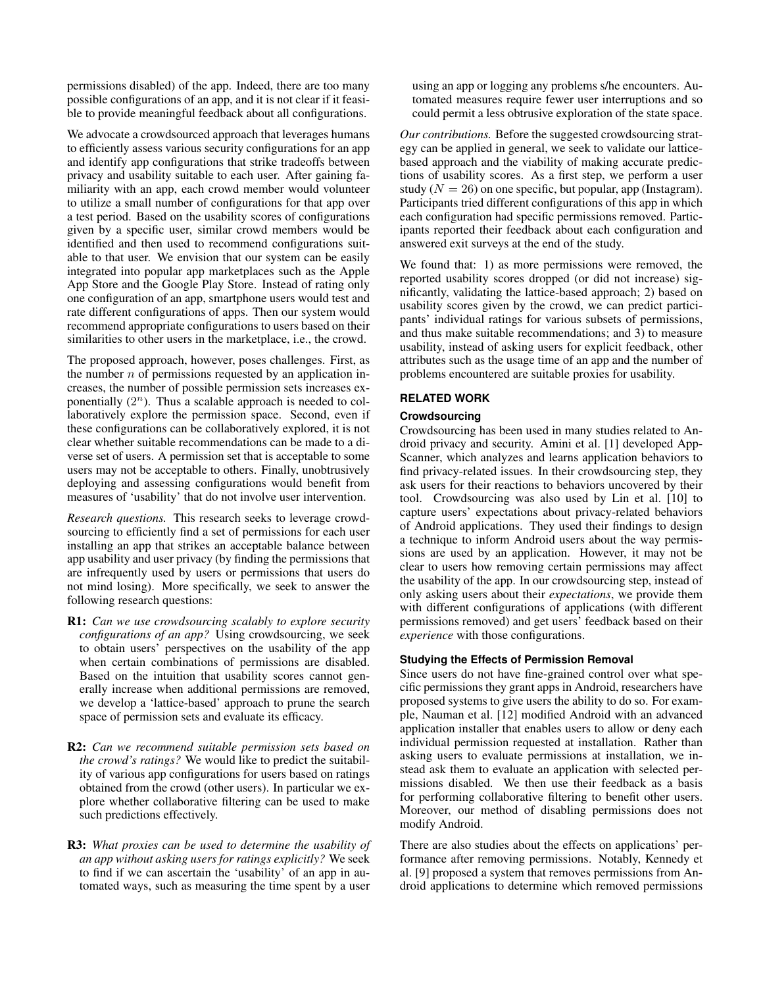permissions disabled) of the app. Indeed, there are too many possible configurations of an app, and it is not clear if it feasible to provide meaningful feedback about all configurations.

We advocate a crowdsourced approach that leverages humans to efficiently assess various security configurations for an app and identify app configurations that strike tradeoffs between privacy and usability suitable to each user. After gaining familiarity with an app, each crowd member would volunteer to utilize a small number of configurations for that app over a test period. Based on the usability scores of configurations given by a specific user, similar crowd members would be identified and then used to recommend configurations suitable to that user. We envision that our system can be easily integrated into popular app marketplaces such as the Apple App Store and the Google Play Store. Instead of rating only one configuration of an app, smartphone users would test and rate different configurations of apps. Then our system would recommend appropriate configurations to users based on their similarities to other users in the marketplace, i.e., the crowd.

The proposed approach, however, poses challenges. First, as the number  $n$  of permissions requested by an application increases, the number of possible permission sets increases exponentially  $(2^n)$ . Thus a scalable approach is needed to collaboratively explore the permission space. Second, even if these configurations can be collaboratively explored, it is not clear whether suitable recommendations can be made to a diverse set of users. A permission set that is acceptable to some users may not be acceptable to others. Finally, unobtrusively deploying and assessing configurations would benefit from measures of 'usability' that do not involve user intervention.

*Research questions.* This research seeks to leverage crowdsourcing to efficiently find a set of permissions for each user installing an app that strikes an acceptable balance between app usability and user privacy (by finding the permissions that are infrequently used by users or permissions that users do not mind losing). More specifically, we seek to answer the following research questions:

- R1: *Can we use crowdsourcing scalably to explore security configurations of an app?* Using crowdsourcing, we seek to obtain users' perspectives on the usability of the app when certain combinations of permissions are disabled. Based on the intuition that usability scores cannot generally increase when additional permissions are removed, we develop a 'lattice-based' approach to prune the search space of permission sets and evaluate its efficacy.
- R2: *Can we recommend suitable permission sets based on the crowd's ratings?* We would like to predict the suitability of various app configurations for users based on ratings obtained from the crowd (other users). In particular we explore whether collaborative filtering can be used to make such predictions effectively.
- R3: *What proxies can be used to determine the usability of an app without asking users for ratings explicitly?* We seek to find if we can ascertain the 'usability' of an app in automated ways, such as measuring the time spent by a user

using an app or logging any problems s/he encounters. Automated measures require fewer user interruptions and so could permit a less obtrusive exploration of the state space.

*Our contributions.* Before the suggested crowdsourcing strategy can be applied in general, we seek to validate our latticebased approach and the viability of making accurate predictions of usability scores. As a first step, we perform a user study ( $N = 26$ ) on one specific, but popular, app (Instagram). Participants tried different configurations of this app in which each configuration had specific permissions removed. Participants reported their feedback about each configuration and answered exit surveys at the end of the study.

We found that: 1) as more permissions were removed, the reported usability scores dropped (or did not increase) significantly, validating the lattice-based approach; 2) based on usability scores given by the crowd, we can predict participants' individual ratings for various subsets of permissions, and thus make suitable recommendations; and 3) to measure usability, instead of asking users for explicit feedback, other attributes such as the usage time of an app and the number of problems encountered are suitable proxies for usability.

# **RELATED WORK**

## **Crowdsourcing**

Crowdsourcing has been used in many studies related to Android privacy and security. Amini et al. [\[1\]](#page-9-3) developed App-Scanner, which analyzes and learns application behaviors to find privacy-related issues. In their crowdsourcing step, they ask users for their reactions to behaviors uncovered by their tool. Crowdsourcing was also used by Lin et al. [\[10\]](#page-9-4) to capture users' expectations about privacy-related behaviors of Android applications. They used their findings to design a technique to inform Android users about the way permissions are used by an application. However, it may not be clear to users how removing certain permissions may affect the usability of the app. In our crowdsourcing step, instead of only asking users about their *expectations*, we provide them with different configurations of applications (with different permissions removed) and get users' feedback based on their *experience* with those configurations.

## **Studying the Effects of Permission Removal**

Since users do not have fine-grained control over what specific permissions they grant apps in Android, researchers have proposed systems to give users the ability to do so. For example, Nauman et al. [\[12\]](#page-9-5) modified Android with an advanced application installer that enables users to allow or deny each individual permission requested at installation. Rather than asking users to evaluate permissions at installation, we instead ask them to evaluate an application with selected permissions disabled. We then use their feedback as a basis for performing collaborative filtering to benefit other users. Moreover, our method of disabling permissions does not modify Android.

There are also studies about the effects on applications' performance after removing permissions. Notably, Kennedy et al. [\[9\]](#page-9-6) proposed a system that removes permissions from Android applications to determine which removed permissions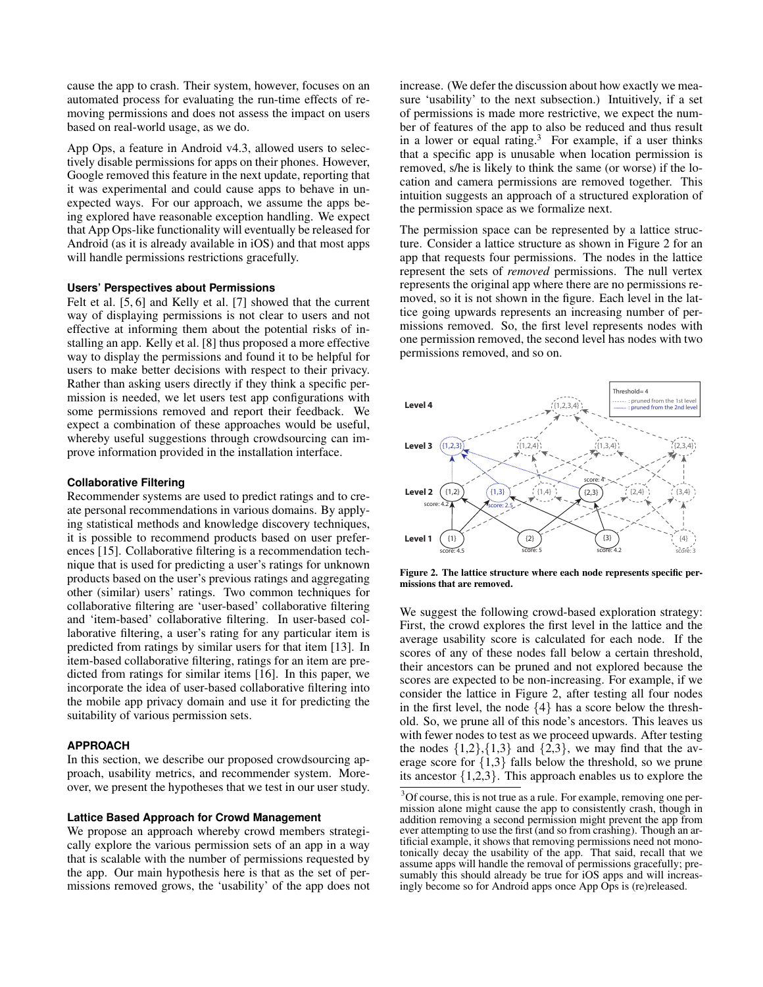cause the app to crash. Their system, however, focuses on an automated process for evaluating the run-time effects of removing permissions and does not assess the impact on users based on real-world usage, as we do.

App Ops, a feature in Android v4.3, allowed users to selectively disable permissions for apps on their phones. However, Google removed this feature in the next update, reporting that it was experimental and could cause apps to behave in unexpected ways. For our approach, we assume the apps being explored have reasonable exception handling. We expect that App Ops-like functionality will eventually be released for Android (as it is already available in iOS) and that most apps will handle permissions restrictions gracefully.

## **Users' Perspectives about Permissions**

Felt et al. [\[5,](#page-9-7) [6\]](#page-9-8) and Kelly et al. [\[7\]](#page-9-9) showed that the current way of displaying permissions is not clear to users and not effective at informing them about the potential risks of installing an app. Kelly et al. [\[8\]](#page-9-10) thus proposed a more effective way to display the permissions and found it to be helpful for users to make better decisions with respect to their privacy. Rather than asking users directly if they think a specific permission is needed, we let users test app configurations with some permissions removed and report their feedback. We expect a combination of these approaches would be useful, whereby useful suggestions through crowdsourcing can improve information provided in the installation interface.

#### **Collaborative Filtering**

Recommender systems are used to predict ratings and to create personal recommendations in various domains. By applying statistical methods and knowledge discovery techniques, it is possible to recommend products based on user preferences [\[15\]](#page-9-11). Collaborative filtering is a recommendation technique that is used for predicting a user's ratings for unknown products based on the user's previous ratings and aggregating other (similar) users' ratings. Two common techniques for collaborative filtering are 'user-based' collaborative filtering and 'item-based' collaborative filtering. In user-based collaborative filtering, a user's rating for any particular item is predicted from ratings by similar users for that item [\[13\]](#page-9-12). In item-based collaborative filtering, ratings for an item are predicted from ratings for similar items [\[16\]](#page-9-13). In this paper, we incorporate the idea of user-based collaborative filtering into the mobile app privacy domain and use it for predicting the suitability of various permission sets.

### **APPROACH**

In this section, we describe our proposed crowdsourcing approach, usability metrics, and recommender system. Moreover, we present the hypotheses that we test in our user study.

#### **Lattice Based Approach for Crowd Management**

We propose an approach whereby crowd members strategically explore the various permission sets of an app in a way that is scalable with the number of permissions requested by the app. Our main hypothesis here is that as the set of permissions removed grows, the 'usability' of the app does not increase. (We defer the discussion about how exactly we measure 'usability' to the next subsection.) Intuitively, if a set of permissions is made more restrictive, we expect the number of features of the app to also be reduced and thus result in a lower or equal rating.<sup>[3](#page-2-0)</sup> For example, if a user thinks that a specific app is unusable when location permission is removed, s/he is likely to think the same (or worse) if the location and camera permissions are removed together. This intuition suggests an approach of a structured exploration of the permission space as we formalize next.

The permission space can be represented by a lattice structure. Consider a lattice structure as shown in Figure [2](#page-2-1) for an app that requests four permissions. The nodes in the lattice represent the sets of *removed* permissions. The null vertex represents the original app where there are no permissions removed, so it is not shown in the figure. Each level in the lattice going upwards represents an increasing number of permissions removed. So, the first level represents nodes with one permission removed, the second level has nodes with two permissions removed, and so on.

<span id="page-2-1"></span>

Figure 2. The lattice structure where each node represents specific permissions that are removed.

We suggest the following crowd-based exploration strategy: First, the crowd explores the first level in the lattice and the average usability score is calculated for each node. If the scores of any of these nodes fall below a certain threshold, their ancestors can be pruned and not explored because the scores are expected to be non-increasing. For example, if we consider the lattice in Figure [2,](#page-2-1) after testing all four nodes in the first level, the node {4} has a score below the threshold. So, we prune all of this node's ancestors. This leaves us with fewer nodes to test as we proceed upwards. After testing the nodes  $\{1,2\}, \{1,3\}$  and  $\{2,3\}$ , we may find that the average score for {1,3} falls below the threshold, so we prune its ancestor {1,2,3}. This approach enables us to explore the

<span id="page-2-0"></span> $3^3$ Of course, this is not true as a rule. For example, removing one permission alone might cause the app to consistently crash, though in addition removing a second permission might prevent the app from ever attempting to use the first (and so from crashing). Though an artificial example, it shows that removing permissions need not monotonically decay the usability of the app. That said, recall that we assume apps will handle the removal of permissions gracefully; presumably this should already be true for iOS apps and will increasingly become so for Android apps once App Ops is (re)released.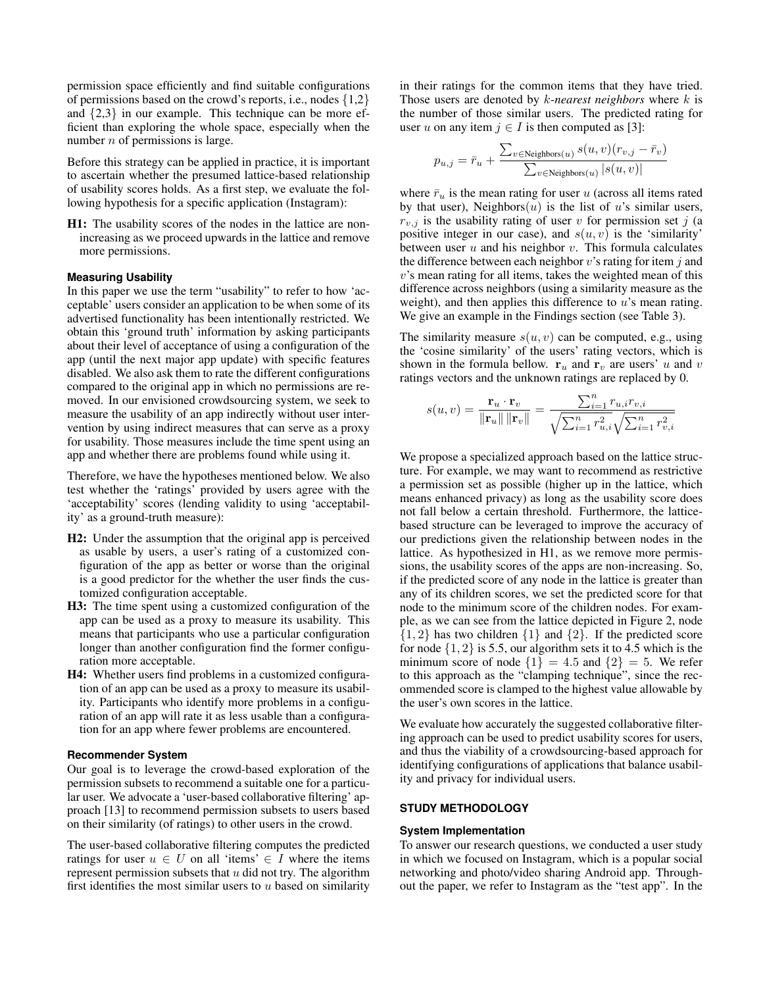permission space efficiently and find suitable configurations of permissions based on the crowd's reports, i.e., nodes {1,2} and  $\{2,3\}$  in our example. This technique can be more efficient than exploring the whole space, especially when the number *n* of permissions is large.

Before this strategy can be applied in practice, it is important to ascertain whether the presumed lattice-based relationship of usability scores holds. As a first step, we evaluate the following hypothesis for a specific application (Instagram):

H1: The usability scores of the nodes in the lattice are nonincreasing as we proceed upwards in the lattice and remove more permissions.

## **Measuring Usability**

In this paper we use the term "usability" to refer to how 'acceptable' users consider an application to be when some of its advertised functionality has been intentionally restricted. We obtain this 'ground truth' information by asking participants about their level of acceptance of using a configuration of the app (until the next major app update) with specific features disabled. We also ask them to rate the different configurations compared to the original app in which no permissions are removed. In our envisioned crowdsourcing system, we seek to measure the usability of an app indirectly without user intervention by using indirect measures that can serve as a proxy for usability. Those measures include the time spent using an app and whether there are problems found while using it.

Therefore, we have the hypotheses mentioned below. We also test whether the 'ratings' provided by users agree with the 'acceptability' scores (lending validity to using 'acceptability' as a ground-truth measure):

- H2: Under the assumption that the original app is perceived as usable by users, a user's rating of a customized configuration of the app as better or worse than the original is a good predictor for the whether the user finds the customized configuration acceptable.
- H3: The time spent using a customized configuration of the app can be used as a proxy to measure its usability. This means that participants who use a particular configuration longer than another configuration find the former configuration more acceptable.
- H4: Whether users find problems in a customized configuration of an app can be used as a proxy to measure its usability. Participants who identify more problems in a configuration of an app will rate it as less usable than a configuration for an app where fewer problems are encountered.

#### **Recommender System**

Our goal is to leverage the crowd-based exploration of the permission subsets to recommend a suitable one for a particular user. We advocate a 'user-based collaborative filtering' approach [\[13\]](#page-9-12) to recommend permission subsets to users based on their similarity (of ratings) to other users in the crowd.

The user-based collaborative filtering computes the predicted ratings for user  $u \in U$  on all 'items'  $\in I$  where the items represent permission subsets that  $u$  did not try. The algorithm first identifies the most similar users to  $u$  based on similarity in their ratings for the common items that they have tried. Those users are denoted by k-*nearest neighbors* where k is the number of those similar users. The predicted rating for user u on any item  $j \in I$  is then computed as [\[3\]](#page-9-14):

$$
p_{u,j} = \bar{r}_u + \frac{\sum_{v \in \text{Neighbors}(u)} s(u,v)(r_{v,j} - \bar{r}_v)}{\sum_{v \in \text{Neighbors}(u)} |s(u,v)|}
$$

where  $\bar{r}_u$  is the mean rating for user u (across all items rated by that user), Neighbors $(u)$  is the list of u's similar users,  $r_{v,i}$  is the usability rating of user v for permission set j (a positive integer in our case), and  $s(u, v)$  is the 'similarity' between user  $u$  and his neighbor  $v$ . This formula calculates the difference between each neighbor  $v$ 's rating for item  $j$  and  $v$ 's mean rating for all items, takes the weighted mean of this difference across neighbors (using a similarity measure as the weight), and then applies this difference to  $u$ 's mean rating. We give an example in the Findings section (see Table [3\)](#page-7-0).

The similarity measure  $s(u, v)$  can be computed, e.g., using the 'cosine similarity' of the users' rating vectors, which is shown in the formula bellow.  $r_u$  and  $r_v$  are users' u and v ratings vectors and the unknown ratings are replaced by 0.

$$
s(u, v) = \frac{\mathbf{r}_u \cdot \mathbf{r}_v}{\|\mathbf{r}_u\| \|\mathbf{r}_v\|} = \frac{\sum_{i=1}^n r_{u,i} r_{v,i}}{\sqrt{\sum_{i=1}^n r_{u,i}^2} \sqrt{\sum_{i=1}^n r_{v,i}^2}}
$$

We propose a specialized approach based on the lattice structure. For example, we may want to recommend as restrictive a permission set as possible (higher up in the lattice, which means enhanced privacy) as long as the usability score does not fall below a certain threshold. Furthermore, the latticebased structure can be leveraged to improve the accuracy of our predictions given the relationship between nodes in the lattice. As hypothesized in H1, as we remove more permissions, the usability scores of the apps are non-increasing. So, if the predicted score of any node in the lattice is greater than any of its children scores, we set the predicted score for that node to the minimum score of the children nodes. For example, as we can see from the lattice depicted in Figure [2,](#page-2-1) node  $\{1, 2\}$  has two children  $\{1\}$  and  $\{2\}$ . If the predicted score for node  $\{1, 2\}$  is 5.5, our algorithm sets it to 4.5 which is the minimum score of node  $\{1\} = 4.5$  and  $\{2\} = 5$ . We refer to this approach as the "clamping technique", since the recommended score is clamped to the highest value allowable by the user's own scores in the lattice.

We evaluate how accurately the suggested collaborative filtering approach can be used to predict usability scores for users, and thus the viability of a crowdsourcing-based approach for identifying configurations of applications that balance usability and privacy for individual users.

## **STUDY METHODOLOGY**

#### **System Implementation**

To answer our research questions, we conducted a user study in which we focused on Instagram, which is a popular social networking and photo/video sharing Android app. Throughout the paper, we refer to Instagram as the "test app". In the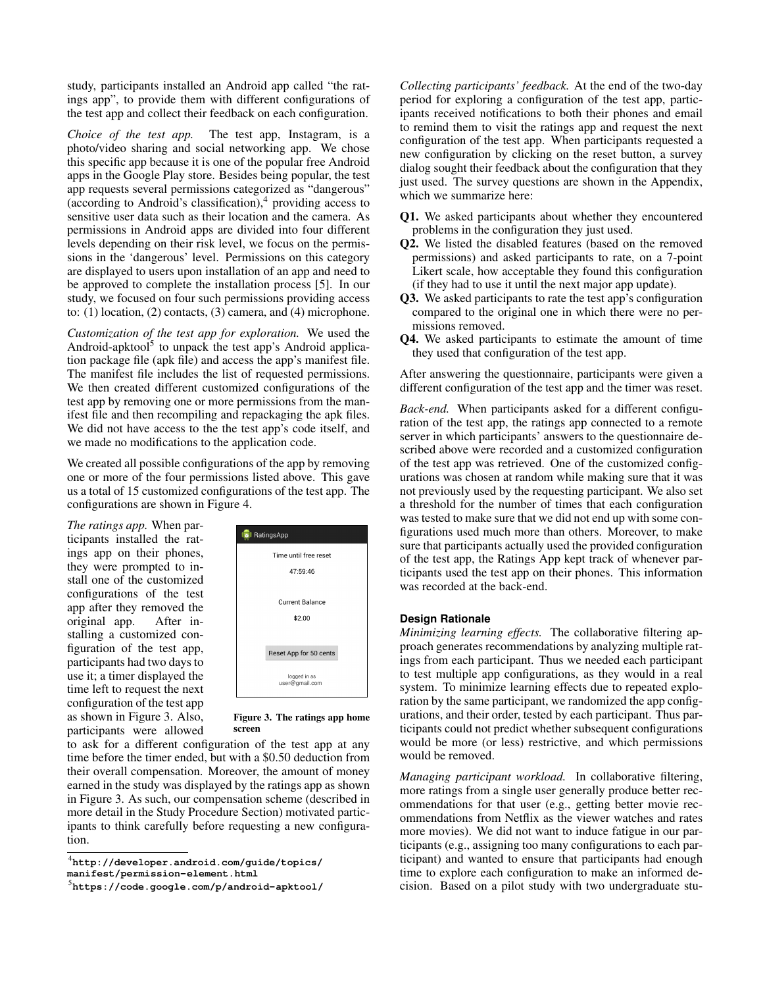study, participants installed an Android app called "the ratings app", to provide them with different configurations of the test app and collect their feedback on each configuration.

*Choice of the test app.* The test app, Instagram, is a photo/video sharing and social networking app. We chose this specific app because it is one of the popular free Android apps in the Google Play store. Besides being popular, the test app requests several permissions categorized as "dangerous" (according to Android's classification), $4$  providing access to sensitive user data such as their location and the camera. As permissions in Android apps are divided into four different levels depending on their risk level, we focus on the permissions in the 'dangerous' level. Permissions on this category are displayed to users upon installation of an app and need to be approved to complete the installation process [\[5\]](#page-9-7). In our study, we focused on four such permissions providing access to: (1) location, (2) contacts, (3) camera, and (4) microphone.

*Customization of the test app for exploration.* We used the Android-apktool<sup>[5](#page-4-1)</sup> to unpack the test app's Android application package file (apk file) and access the app's manifest file. The manifest file includes the list of requested permissions. We then created different customized configurations of the test app by removing one or more permissions from the manifest file and then recompiling and repackaging the apk files. We did not have access to the the test app's code itself, and we made no modifications to the application code.

We created all possible configurations of the app by removing one or more of the four permissions listed above. This gave us a total of 15 customized configurations of the test app. The configurations are shown in Figure [4.](#page-5-0)

*The ratings app.* When participants installed the ratings app on their phones, they were prompted to install one of the customized configurations of the test app after they removed the original app. After installing a customized configuration of the test app, participants had two days to use it; a timer displayed the time left to request the next configuration of the test app as shown in Figure [3.](#page-4-2) Also, participants were allowed

<span id="page-4-2"></span>

Figure 3. The ratings app home screen

to ask for a different configuration of the test app at any time before the timer ended, but with a \$0.50 deduction from their overall compensation. Moreover, the amount of money earned in the study was displayed by the ratings app as shown in Figure [3.](#page-4-2) As such, our compensation scheme (described in more detail in the Study Procedure Section) motivated participants to think carefully before requesting a new configuration.

*Collecting participants' feedback.* At the end of the two-day period for exploring a configuration of the test app, participants received notifications to both their phones and email to remind them to visit the ratings app and request the next configuration of the test app. When participants requested a new configuration by clicking on the reset button, a survey dialog sought their feedback about the configuration that they just used. The survey questions are shown in the Appendix, which we summarize here:

- Q1. We asked participants about whether they encountered problems in the configuration they just used.
- Q2. We listed the disabled features (based on the removed permissions) and asked participants to rate, on a 7-point Likert scale, how acceptable they found this configuration (if they had to use it until the next major app update).
- Q3. We asked participants to rate the test app's configuration compared to the original one in which there were no permissions removed.
- Q4. We asked participants to estimate the amount of time they used that configuration of the test app.

After answering the questionnaire, participants were given a different configuration of the test app and the timer was reset.

*Back-end.* When participants asked for a different configuration of the test app, the ratings app connected to a remote server in which participants' answers to the questionnaire described above were recorded and a customized configuration of the test app was retrieved. One of the customized configurations was chosen at random while making sure that it was not previously used by the requesting participant. We also set a threshold for the number of times that each configuration was tested to make sure that we did not end up with some configurations used much more than others. Moreover, to make sure that participants actually used the provided configuration of the test app, the Ratings App kept track of whenever participants used the test app on their phones. This information was recorded at the back-end.

### **Design Rationale**

*Minimizing learning effects.* The collaborative filtering approach generates recommendations by analyzing multiple ratings from each participant. Thus we needed each participant to test multiple app configurations, as they would in a real system. To minimize learning effects due to repeated exploration by the same participant, we randomized the app configurations, and their order, tested by each participant. Thus participants could not predict whether subsequent configurations would be more (or less) restrictive, and which permissions would be removed.

*Managing participant workload.* In collaborative filtering, more ratings from a single user generally produce better recommendations for that user (e.g., getting better movie recommendations from Netflix as the viewer watches and rates more movies). We did not want to induce fatigue in our participants (e.g., assigning too many configurations to each participant) and wanted to ensure that participants had enough time to explore each configuration to make an informed decision. Based on a pilot study with two undergraduate stu-

<span id="page-4-0"></span><sup>4</sup> **[http://developer.android.com/guide/topics/](http://developer.android.com/guide/topics/manifest/permission-element.html) [manifest/permission-element.html](http://developer.android.com/guide/topics/manifest/permission-element.html)**

<span id="page-4-1"></span><sup>5</sup> **<https://code.google.com/p/android-apktool/>**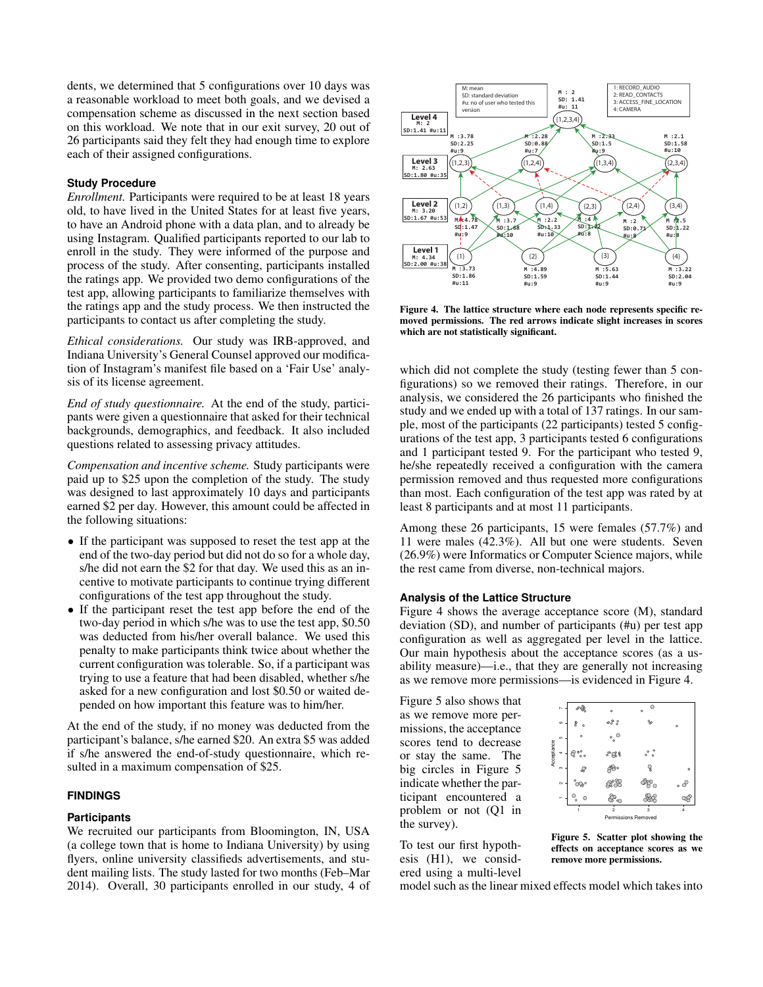dents, we determined that 5 configurations over 10 days was a reasonable workload to meet both goals, and we devised a compensation scheme as discussed in the next section based on this workload. We note that in our exit survey, 20 out of 26 participants said they felt they had enough time to explore each of their assigned configurations.

## **Study Procedure**

*Enrollment.* Participants were required to be at least 18 years old, to have lived in the United States for at least five years, to have an Android phone with a data plan, and to already be using Instagram. Qualified participants reported to our lab to enroll in the study. They were informed of the purpose and process of the study. After consenting, participants installed the ratings app. We provided two demo configurations of the test app, allowing participants to familiarize themselves with the ratings app and the study process. We then instructed the participants to contact us after completing the study.

*Ethical considerations.* Our study was IRB-approved, and Indiana University's General Counsel approved our modification of Instagram's manifest file based on a 'Fair Use' analysis of its license agreement.

*End of study questionnaire.* At the end of the study, participants were given a questionnaire that asked for their technical backgrounds, demographics, and feedback. It also included questions related to assessing privacy attitudes.

*Compensation and incentive scheme.* Study participants were paid up to \$25 upon the completion of the study. The study was designed to last approximately 10 days and participants earned \$2 per day. However, this amount could be affected in the following situations:

- If the participant was supposed to reset the test app at the end of the two-day period but did not do so for a whole day, s/he did not earn the \$2 for that day. We used this as an incentive to motivate participants to continue trying different configurations of the test app throughout the study.
- If the participant reset the test app before the end of the two-day period in which s/he was to use the test app, \$0.50 was deducted from his/her overall balance. We used this penalty to make participants think twice about whether the current configuration was tolerable. So, if a participant was trying to use a feature that had been disabled, whether s/he asked for a new configuration and lost \$0.50 or waited depended on how important this feature was to him/her.

At the end of the study, if no money was deducted from the participant's balance, s/he earned \$20. An extra \$5 was added if s/he answered the end-of-study questionnaire, which resulted in a maximum compensation of \$25.

## **FINDINGS**

### **Participants**

We recruited our participants from Bloomington, IN, USA (a college town that is home to Indiana University) by using flyers, online university classifieds advertisements, and student mailing lists. The study lasted for two months (Feb–Mar 2014). Overall, 30 participants enrolled in our study, 4 of

<span id="page-5-0"></span>

Figure 4. The lattice structure where each node represents specific removed permissions. The red arrows indicate slight increases in scores which are not statistically significant.

which did not complete the study (testing fewer than 5 configurations) so we removed their ratings. Therefore, in our analysis, we considered the 26 participants who finished the study and we ended up with a total of 137 ratings. In our sample, most of the participants (22 participants) tested 5 configurations of the test app, 3 participants tested 6 configurations and 1 participant tested 9. For the participant who tested 9, he/she repeatedly received a configuration with the camera permission removed and thus requested more configurations than most. Each configuration of the test app was rated by at least 8 participants and at most 11 participants.

Among these 26 participants, 15 were females (57.7%) and 11 were males (42.3%). All but one were students. Seven (26.9%) were Informatics or Computer Science majors, while the rest came from diverse, non-technical majors.

### **Analysis of the Lattice Structure**

Figure [4](#page-5-0) shows the average acceptance score (M), standard deviation (SD), and number of participants (#u) per test app configuration as well as aggregated per level in the lattice. Our main hypothesis about the acceptance scores (as a usability measure)—i.e., that they are generally not increasing as we remove more permissions—is evidenced in Figure [4.](#page-5-0)

Figure [5](#page-5-1) also shows that as we remove more permissions, the acceptance scores tend to decrease or stay the same. The big circles in Figure [5](#page-5-1) indicate whether the participant encountered a problem or not (Q1 in the survey).



<span id="page-5-1"></span>

Figure 5. Scatter plot showing the effects on acceptance scores as we remove more permissions.

model such as the linear mixed effects model which takes into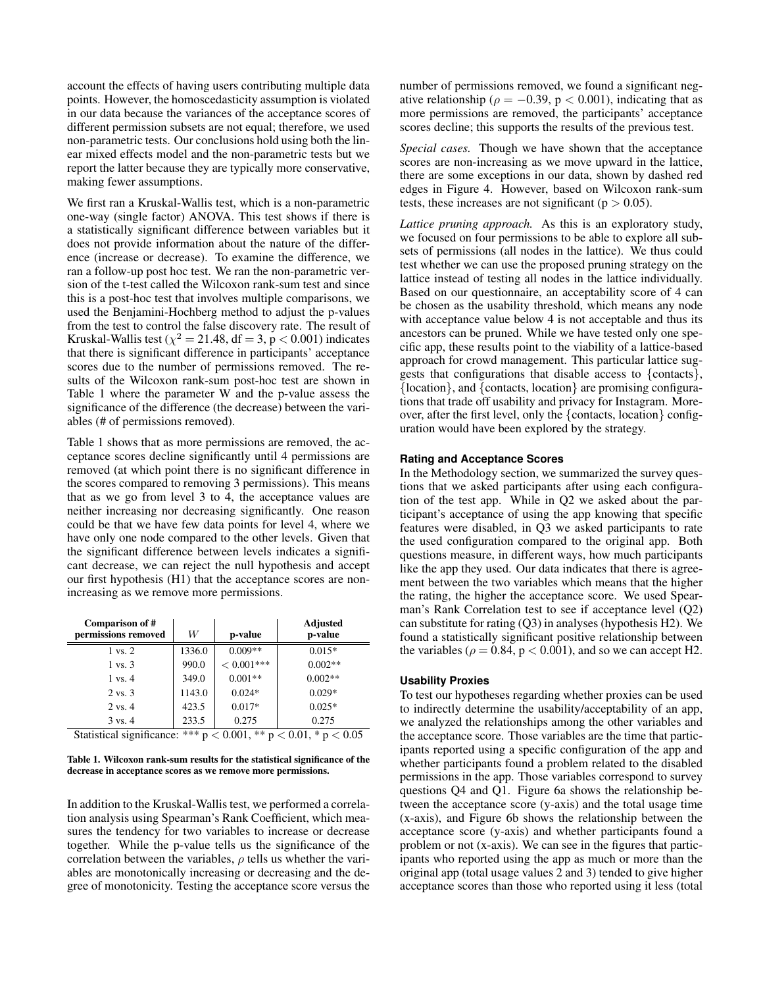account the effects of having users contributing multiple data points. However, the homoscedasticity assumption is violated in our data because the variances of the acceptance scores of different permission subsets are not equal; therefore, we used non-parametric tests. Our conclusions hold using both the linear mixed effects model and the non-parametric tests but we report the latter because they are typically more conservative, making fewer assumptions.

We first ran a Kruskal-Wallis test, which is a non-parametric one-way (single factor) ANOVA. This test shows if there is a statistically significant difference between variables but it does not provide information about the nature of the difference (increase or decrease). To examine the difference, we ran a follow-up post hoc test. We ran the non-parametric version of the t-test called the Wilcoxon rank-sum test and since this is a post-hoc test that involves multiple comparisons, we used the Benjamini-Hochberg method to adjust the p-values from the test to control the false discovery rate. The result of Kruskal-Wallis test ( $\chi^2 = 21.48$ , df = 3, p < 0.001) indicates that there is significant difference in participants' acceptance scores due to the number of permissions removed. The results of the Wilcoxon rank-sum post-hoc test are shown in Table [1](#page-6-0) where the parameter W and the p-value assess the significance of the difference (the decrease) between the variables (# of permissions removed).

Table [1](#page-6-0) shows that as more permissions are removed, the acceptance scores decline significantly until 4 permissions are removed (at which point there is no significant difference in the scores compared to removing 3 permissions). This means that as we go from level 3 to 4, the acceptance values are neither increasing nor decreasing significantly. One reason could be that we have few data points for level 4, where we have only one node compared to the other levels. Given that the significant difference between levels indicates a significant decrease, we can reject the null hypothesis and accept our first hypothesis (H1) that the acceptance scores are nonincreasing as we remove more permissions.

<span id="page-6-0"></span>

| Comparison of #<br>permissions removed | W      | p-value      | <b>Adjusted</b><br>p-value |
|----------------------------------------|--------|--------------|----------------------------|
| 1 vs. 2                                | 1336.0 | $0.009**$    | $0.015*$                   |
| 1 vs. 3                                | 990.0  | $< 0.001***$ | $0.002**$                  |
| $1 \text{ vs. } 4$                     | 349.0  | $0.001**$    | $0.002**$                  |
| $2 \text{ vs. } 3$                     | 1143.0 | $0.024*$     | $0.029*$                   |
| $2 \text{ vs. } 4$                     | 423.5  | $0.017*$     | $0.025*$                   |
| $3 \text{ vs. } 4$                     | 233.5  | 0.275        | 0.275                      |

Statistical significance: \*\*\*  $p < 0.001$ , \*\*  $p < 0.01$ , \*  $p < 0.05$ 

#### Table 1. Wilcoxon rank-sum results for the statistical significance of the decrease in acceptance scores as we remove more permissions.

In addition to the Kruskal-Wallis test, we performed a correlation analysis using Spearman's Rank Coefficient, which measures the tendency for two variables to increase or decrease together. While the p-value tells us the significance of the correlation between the variables,  $\rho$  tells us whether the variables are monotonically increasing or decreasing and the degree of monotonicity. Testing the acceptance score versus the

number of permissions removed, we found a significant negative relationship ( $\rho = -0.39$ , p < 0.001), indicating that as more permissions are removed, the participants' acceptance scores decline; this supports the results of the previous test.

*Special cases.* Though we have shown that the acceptance scores are non-increasing as we move upward in the lattice, there are some exceptions in our data, shown by dashed red edges in Figure [4.](#page-5-0) However, based on Wilcoxon rank-sum tests, these increases are not significant ( $p > 0.05$ ).

*Lattice pruning approach.* As this is an exploratory study, we focused on four permissions to be able to explore all subsets of permissions (all nodes in the lattice). We thus could test whether we can use the proposed pruning strategy on the lattice instead of testing all nodes in the lattice individually. Based on our questionnaire, an acceptability score of 4 can be chosen as the usability threshold, which means any node with acceptance value below 4 is not acceptable and thus its ancestors can be pruned. While we have tested only one specific app, these results point to the viability of a lattice-based approach for crowd management. This particular lattice suggests that configurations that disable access to {contacts}, {location}, and {contacts, location} are promising configurations that trade off usability and privacy for Instagram. Moreover, after the first level, only the {contacts, location} configuration would have been explored by the strategy.

## **Rating and Acceptance Scores**

In the Methodology section, we summarized the survey questions that we asked participants after using each configuration of the test app. While in Q2 we asked about the participant's acceptance of using the app knowing that specific features were disabled, in Q3 we asked participants to rate the used configuration compared to the original app. Both questions measure, in different ways, how much participants like the app they used. Our data indicates that there is agreement between the two variables which means that the higher the rating, the higher the acceptance score. We used Spearman's Rank Correlation test to see if acceptance level (Q2) can substitute for rating (Q3) in analyses (hypothesis H2). We found a statistically significant positive relationship between the variables ( $\rho = 0.84$ ,  $p < 0.001$ ), and so we can accept H2.

### **Usability Proxies**

To test our hypotheses regarding whether proxies can be used to indirectly determine the usability/acceptability of an app, we analyzed the relationships among the other variables and the acceptance score. Those variables are the time that participants reported using a specific configuration of the app and whether participants found a problem related to the disabled permissions in the app. Those variables correspond to survey questions Q4 and Q1. Figure [6a](#page-8-0) shows the relationship between the acceptance score (y-axis) and the total usage time (x-axis), and Figure [6b](#page-8-0) shows the relationship between the acceptance score (y-axis) and whether participants found a problem or not (x-axis). We can see in the figures that participants who reported using the app as much or more than the original app (total usage values 2 and 3) tended to give higher acceptance scores than those who reported using it less (total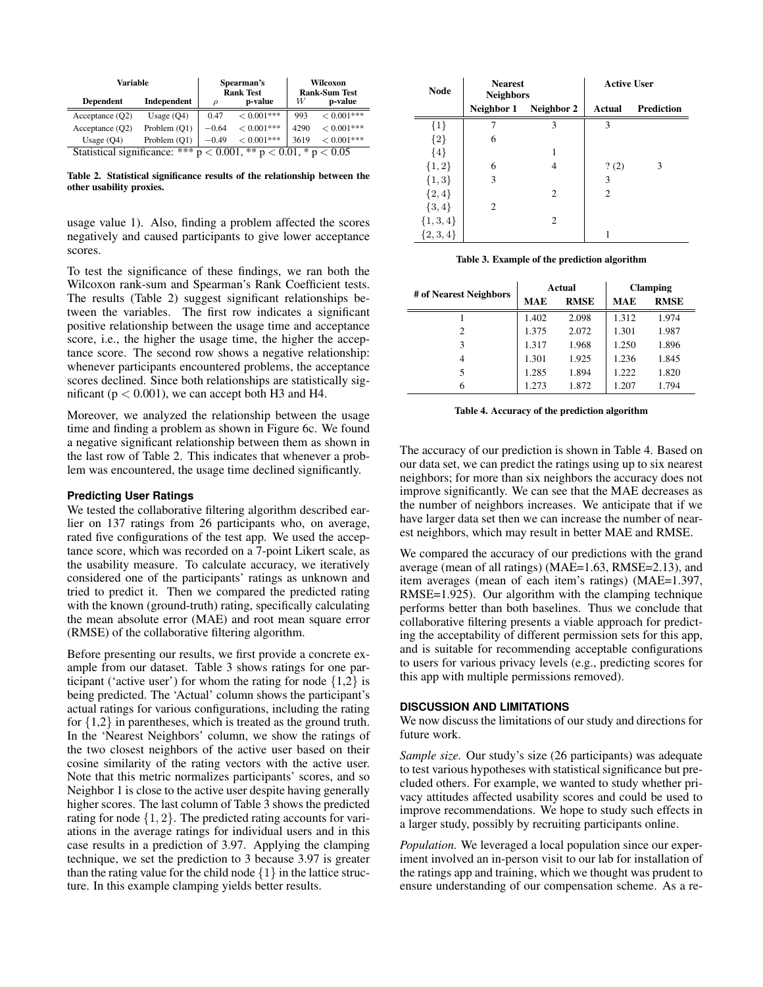<span id="page-7-1"></span>

| Variable                                                                    |              | Spearman's<br><b>Rank Test</b> |              | Wilcoxon<br><b>Rank-Sum Test</b> |              |
|-----------------------------------------------------------------------------|--------------|--------------------------------|--------------|----------------------------------|--------------|
| <b>Dependent</b>                                                            | Independent  | $\mathcal{O}$                  | p-value      | W                                | p-value      |
| Acceptance $(02)$                                                           | Usage $(O4)$ | 0.47                           | $< 0.001***$ | 993                              | $< 0.001***$ |
| Acceptance $(02)$                                                           | Problem (Q1) | $-0.64$                        | $< 0.001***$ | 4290                             | $< 0.001***$ |
| Usage $(O4)$                                                                | Problem (Q1) | $-0.49$                        | $< 0.001***$ | 3619                             | $< 0.001***$ |
| Statistical significance: *** $p < 0.001$ ,<br>** $p < 0.01$ , * $p < 0.05$ |              |                                |              |                                  |              |

Table 2. Statistical significance results of the relationship between the other usability proxies.

usage value 1). Also, finding a problem affected the scores negatively and caused participants to give lower acceptance scores.

To test the significance of these findings, we ran both the Wilcoxon rank-sum and Spearman's Rank Coefficient tests. The results (Table [2\)](#page-7-1) suggest significant relationships between the variables. The first row indicates a significant positive relationship between the usage time and acceptance score, i.e., the higher the usage time, the higher the acceptance score. The second row shows a negative relationship: whenever participants encountered problems, the acceptance scores declined. Since both relationships are statistically significant ( $p < 0.001$ ), we can accept both H3 and H4.

Moreover, we analyzed the relationship between the usage time and finding a problem as shown in Figure [6c.](#page-8-0) We found a negative significant relationship between them as shown in the last row of Table [2.](#page-7-1) This indicates that whenever a problem was encountered, the usage time declined significantly.

### **Predicting User Ratings**

We tested the collaborative filtering algorithm described earlier on 137 ratings from 26 participants who, on average, rated five configurations of the test app. We used the acceptance score, which was recorded on a 7-point Likert scale, as the usability measure. To calculate accuracy, we iteratively considered one of the participants' ratings as unknown and tried to predict it. Then we compared the predicted rating with the known (ground-truth) rating, specifically calculating the mean absolute error (MAE) and root mean square error (RMSE) of the collaborative filtering algorithm.

Before presenting our results, we first provide a concrete example from our dataset. Table [3](#page-7-0) shows ratings for one participant ('active user') for whom the rating for node  $\{1,2\}$  is being predicted. The 'Actual' column shows the participant's actual ratings for various configurations, including the rating for {1,2} in parentheses, which is treated as the ground truth. In the 'Nearest Neighbors' column, we show the ratings of the two closest neighbors of the active user based on their cosine similarity of the rating vectors with the active user. Note that this metric normalizes participants' scores, and so Neighbor 1 is close to the active user despite having generally higher scores. The last column of Table [3](#page-7-0) shows the predicted rating for node  $\{1, 2\}$ . The predicted rating accounts for variations in the average ratings for individual users and in this case results in a prediction of 3.97. Applying the clamping technique, we set the prediction to 3 because 3.97 is greater than the rating value for the child node  $\{1\}$  in the lattice structure. In this example clamping yields better results.

<span id="page-7-0"></span>

| <b>Node</b>                | <b>Nearest</b><br><b>Neighbors</b> |            | <b>Active User</b> |            |  |
|----------------------------|------------------------------------|------------|--------------------|------------|--|
|                            | Neighbor 1                         | Neighbor 2 | Actual             | Prediction |  |
| $\{1\}$                    |                                    | 3          | 3                  |            |  |
| ${2}$                      | 6                                  |            |                    |            |  |
| ${4}$                      |                                    |            |                    |            |  |
| ${1, 2}$                   | 6                                  | 4          | ?(2)               | 3          |  |
| ${1,3}$                    | 3                                  |            | 3                  |            |  |
| ${2, 4}$                   |                                    | 2          | $\overline{2}$     |            |  |
| $\{3, 4\}$                 | 2                                  |            |                    |            |  |
| ${1, 3, 4}$<br>${2, 3, 4}$ |                                    | 2          |                    |            |  |
|                            |                                    |            |                    |            |  |

Table 3. Example of the prediction algorithm

<span id="page-7-2"></span>

| # of Nearest Neighbors | Actual     |             | <b>Clamping</b> |             |
|------------------------|------------|-------------|-----------------|-------------|
|                        | <b>MAE</b> | <b>RMSE</b> | <b>MAE</b>      | <b>RMSE</b> |
|                        | 1.402      | 2.098       | 1.312           | 1.974       |
| 2                      | 1.375      | 2.072       | 1.301           | 1.987       |
| 3                      | 1.317      | 1.968       | 1.250           | 1.896       |
| 4                      | 1.301      | 1.925       | 1.236           | 1.845       |
| 5                      | 1.285      | 1.894       | 1.222           | 1.820       |
|                        | 1.273      | 1.872       | 1.207           | 1.794       |

Table 4. Accuracy of the prediction algorithm

The accuracy of our prediction is shown in Table [4.](#page-7-2) Based on our data set, we can predict the ratings using up to six nearest neighbors; for more than six neighbors the accuracy does not improve significantly. We can see that the MAE decreases as the number of neighbors increases. We anticipate that if we have larger data set then we can increase the number of nearest neighbors, which may result in better MAE and RMSE.

We compared the accuracy of our predictions with the grand average (mean of all ratings) (MAE=1.63, RMSE=2.13), and item averages (mean of each item's ratings) (MAE=1.397, RMSE=1.925). Our algorithm with the clamping technique performs better than both baselines. Thus we conclude that collaborative filtering presents a viable approach for predicting the acceptability of different permission sets for this app, and is suitable for recommending acceptable configurations to users for various privacy levels (e.g., predicting scores for this app with multiple permissions removed).

## **DISCUSSION AND LIMITATIONS**

We now discuss the limitations of our study and directions for future work.

*Sample size.* Our study's size (26 participants) was adequate to test various hypotheses with statistical significance but precluded others. For example, we wanted to study whether privacy attitudes affected usability scores and could be used to improve recommendations. We hope to study such effects in a larger study, possibly by recruiting participants online.

*Population.* We leveraged a local population since our experiment involved an in-person visit to our lab for installation of the ratings app and training, which we thought was prudent to ensure understanding of our compensation scheme. As a re-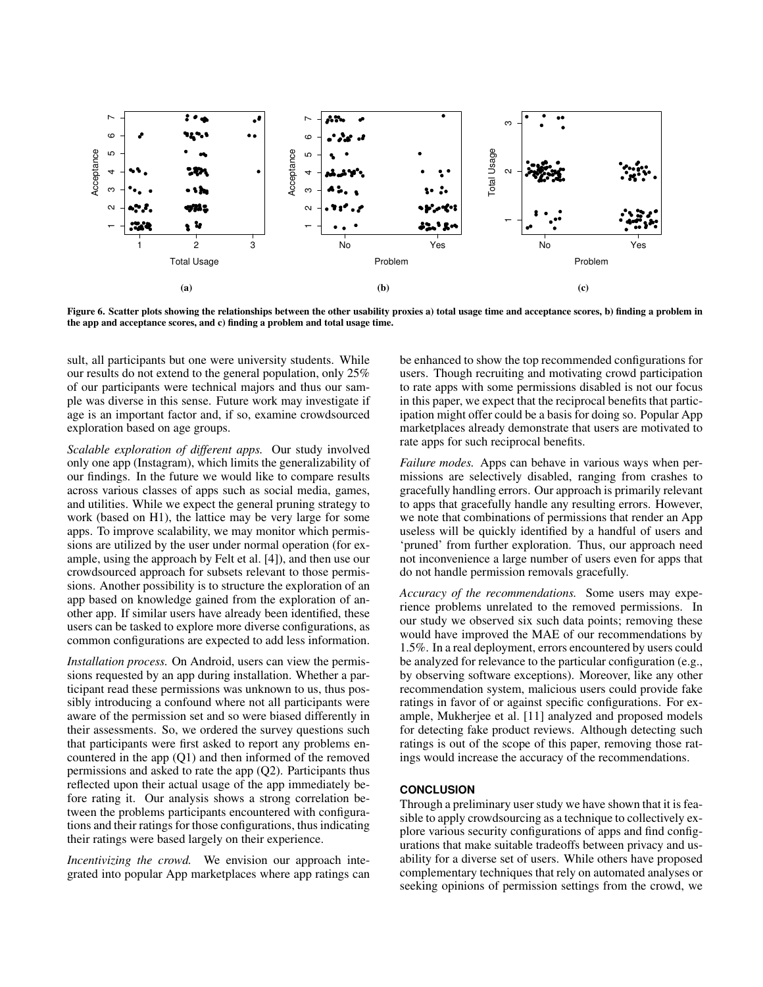<span id="page-8-0"></span>

Figure 6. Scatter plots showing the relationships between the other usability proxies a) total usage time and acceptance scores, b) finding a problem in the app and acceptance scores, and c) finding a problem and total usage time.

sult, all participants but one were university students. While our results do not extend to the general population, only 25% of our participants were technical majors and thus our sample was diverse in this sense. Future work may investigate if age is an important factor and, if so, examine crowdsourced exploration based on age groups.

*Scalable exploration of different apps.* Our study involved only one app (Instagram), which limits the generalizability of our findings. In the future we would like to compare results across various classes of apps such as social media, games, and utilities. While we expect the general pruning strategy to work (based on H1), the lattice may be very large for some apps. To improve scalability, we may monitor which permissions are utilized by the user under normal operation (for example, using the approach by Felt et al. [\[4\]](#page-9-2)), and then use our crowdsourced approach for subsets relevant to those permissions. Another possibility is to structure the exploration of an app based on knowledge gained from the exploration of another app. If similar users have already been identified, these users can be tasked to explore more diverse configurations, as common configurations are expected to add less information.

*Installation process.* On Android, users can view the permissions requested by an app during installation. Whether a participant read these permissions was unknown to us, thus possibly introducing a confound where not all participants were aware of the permission set and so were biased differently in their assessments. So, we ordered the survey questions such that participants were first asked to report any problems encountered in the app (Q1) and then informed of the removed permissions and asked to rate the app (Q2). Participants thus reflected upon their actual usage of the app immediately before rating it. Our analysis shows a strong correlation between the problems participants encountered with configurations and their ratings for those configurations, thus indicating their ratings were based largely on their experience.

*Incentivizing the crowd.* We envision our approach integrated into popular App marketplaces where app ratings can be enhanced to show the top recommended configurations for users. Though recruiting and motivating crowd participation to rate apps with some permissions disabled is not our focus in this paper, we expect that the reciprocal benefits that participation might offer could be a basis for doing so. Popular App marketplaces already demonstrate that users are motivated to rate apps for such reciprocal benefits.

*Failure modes.* Apps can behave in various ways when permissions are selectively disabled, ranging from crashes to gracefully handling errors. Our approach is primarily relevant to apps that gracefully handle any resulting errors. However, we note that combinations of permissions that render an App useless will be quickly identified by a handful of users and 'pruned' from further exploration. Thus, our approach need not inconvenience a large number of users even for apps that do not handle permission removals gracefully.

*Accuracy of the recommendations.* Some users may experience problems unrelated to the removed permissions. In our study we observed six such data points; removing these would have improved the MAE of our recommendations by 1.5%. In a real deployment, errors encountered by users could be analyzed for relevance to the particular configuration (e.g., by observing software exceptions). Moreover, like any other recommendation system, malicious users could provide fake ratings in favor of or against specific configurations. For example, Mukherjee et al. [\[11\]](#page-9-15) analyzed and proposed models for detecting fake product reviews. Although detecting such ratings is out of the scope of this paper, removing those ratings would increase the accuracy of the recommendations.

## **CONCLUSION**

Through a preliminary user study we have shown that it is feasible to apply crowdsourcing as a technique to collectively explore various security configurations of apps and find configurations that make suitable tradeoffs between privacy and usability for a diverse set of users. While others have proposed complementary techniques that rely on automated analyses or seeking opinions of permission settings from the crowd, we